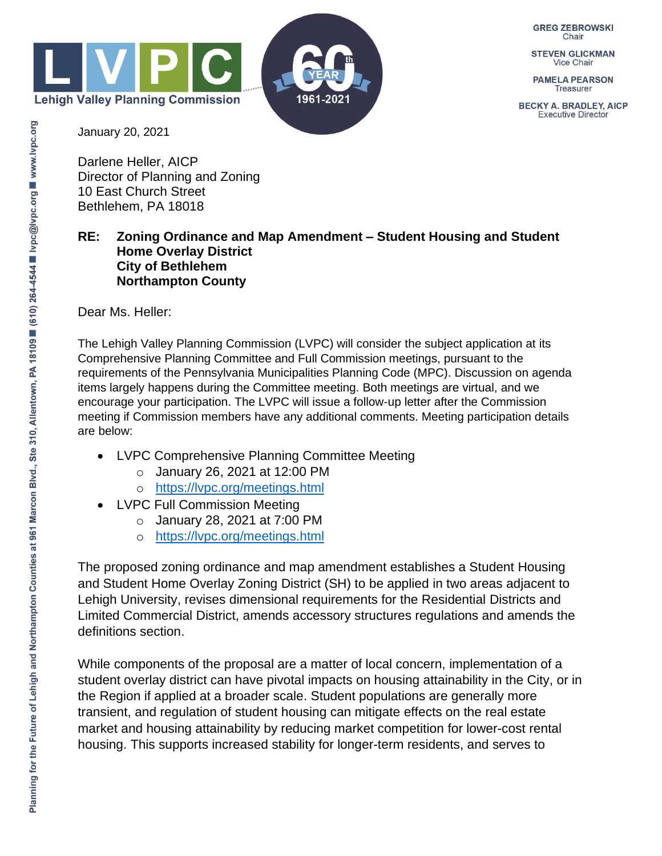

**GREG ZEBROWSKI** Chair

**STEVEN GLICKMAN Vice Chair** 

**PAMELA PEARSON Treasurer** 

**BECKY A. BRADLEY, AICP Executive Director** 

January 20, 2021

Darlene Heller, AICP Director of Planning and Zoning 10 East Church Street Bethlehem, PA 18018

## **RE: Zoning Ordinance and Map Amendment – Student Housing and Student Home Overlay District City of Bethlehem Northampton County**

Dear Ms. Heller:

The Lehigh Valley Planning Commission (LVPC) will consider the subject application at its Comprehensive Planning Committee and Full Commission meetings, pursuant to the requirements of the Pennsylvania Municipalities Planning Code (MPC). Discussion on agenda items largely happens during the Committee meeting. Both meetings are virtual, and we encourage your participation. The LVPC will issue a follow-up letter after the Commission meeting if Commission members have any additional comments. Meeting participation details are below:

- LVPC Comprehensive Planning Committee Meeting
	- o January 26, 2021 at 12:00 PM
	- o <https://lvpc.org/meetings.html>
- **LVPC Full Commission Meeting** 
	- o January 28, 2021 at 7:00 PM
	- o <https://lvpc.org/meetings.html>

The proposed zoning ordinance and map amendment establishes a Student Housing and Student Home Overlay Zoning District (SH) to be applied in two areas adjacent to Lehigh University, revises dimensional requirements for the Residential Districts and Limited Commercial District, amends accessory structures regulations and amends the definitions section.

While components of the proposal are a matter of local concern, implementation of a student overlay district can have pivotal impacts on housing attainability in the City, or in the Region if applied at a broader scale. Student populations are generally more transient, and regulation of student housing can mitigate effects on the real estate market and housing attainability by reducing market competition for lower-cost rental housing. This supports increased stability for longer-term residents, and serves to